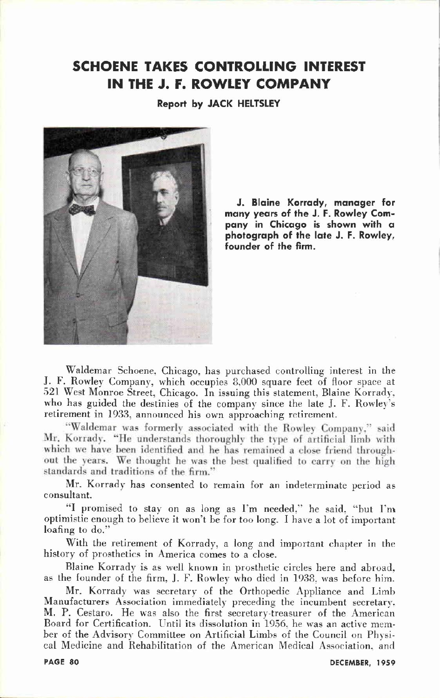## **SCHOENE TAKES CONTROLLING INTEREST IN THE J.F . ROWLEY COMPANY**

**Report by JACK HELTSLEY** 



**<sup>J</sup> . Blaine Korrady , manage r for many year s of the J.F . Rowle y Com pan y in Chicago is shown with a photograph of the late J.F . Rowley, Founder of the firm.** 

**Waldemar Schoene, Chicago, has purchased controlling interest in the J.F . Rowley Company, which occupies 8,000 square feet of floor space at 521 West Monroe Street, Chicago. In issuing this statement, Blaine Korrady, who has guided the destinies of the company since the late J.F . Rowley's retirement in 1933, announced his own approaching retirement.** 

"Waldemar was formerly associated with the Rowley Company," said Mr. Korrady. "He understands thoroughly the type of artificial limb with which we have been identified and he has remained a close friend throughout the years. We thought he was the best qualified to carry on the high standards and traditions of the firm."

**Mr. Korrady has consented to remain for an indeterminate period as consultant.** 

**"I promised to stay on as long as I'm needed," he said, "but I'm optimistic enough to believe it won't be for too long. I have a lot of important loafing to do."** 

**With the retirement of Korrady, a long and important chapter in the history of prosthetics in America comes to a close.** 

**Blaine Korrady is as well known in prosthetic circles here and abroad, as the founder of the firm, J.F . Rowley who died in 1938, was before him.** 

**Mr. Korrady was secretary of the Orthopedic Appliance and Limb Manufacturers Association immediately preceding the incumbent secretary. M.P. Cestaro. He was also the first secretary-treasurer of the American Board for Certification. Until its dissolution in 1956. he was an active member of the Advisory Committee on Artificial Limbs of the Council on Physical Medicine and Rehabilitation of the American Medical Association, and**